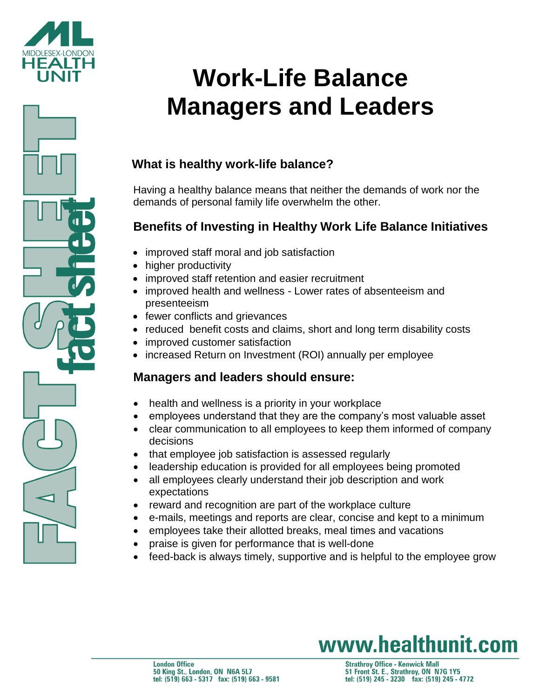



# **Work-Life Balance Managers and Leaders**

## **What is healthy work-life balance?**

Having a healthy balance means that neither the demands of work nor the demands of personal family life overwhelm the other.

### **Benefits of Investing in Healthy Work Life Balance Initiatives**

- improved staff moral and job satisfaction
- higher productivity
- improved staff retention and easier recruitment
- improved health and wellness Lower rates of absenteeism and presenteeism
- fewer conflicts and grievances
- reduced benefit costs and claims, short and long term disability costs
- improved customer satisfaction
- increased Return on Investment (ROI) annually per employee

### **Managers and leaders should ensure:**

- health and wellness is a priority in your workplace
- employees understand that they are the company's most valuable asset
- clear communication to all employees to keep them informed of company decisions
- that employee job satisfaction is assessed regularly
- leadership education is provided for all employees being promoted
- all employees clearly understand their job description and work expectations
- reward and recognition are part of the workplace culture
- e-mails, meetings and reports are clear, concise and kept to a minimum
- employees take their allotted breaks, meal times and vacations
- praise is given for performance that is well-done
- feed-back is always timely, supportive and is helpful to the employee grow

# www.healthunit.com